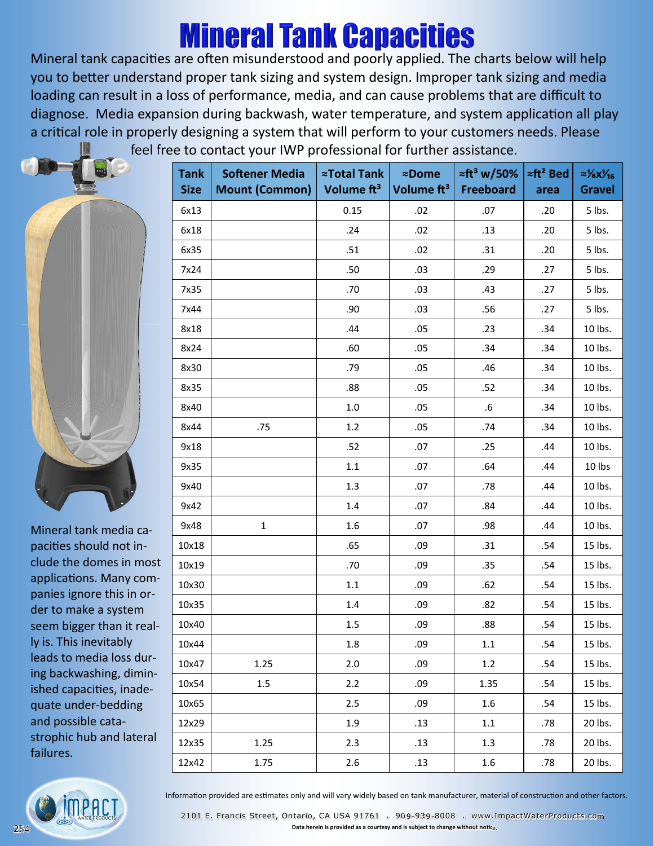## **Mineral Tank Capacities**

Mineral tank capacities are often misunderstood and poorly applied. The charts below will help you to better understand proper tank sizing and system design. Improper tank sizing and media loading can result in a loss of performance, media, and can cause problems that are difficult to diagnose. Media expansion during backwash, water temperature, and system application all play a critical role in properly designing a system that will perform to your customers needs. Please feel free to contact your IWP professional for further assistance.



Mineral tank media capacities should not include the domes in most applications. Many companies ignore this in order to make a system seem bigger than it really is. This inevitably leads to media loss during backwashing, diminished capacities, inadequate under-bedding and possible catastrophic hub and lateral failures.

| <b>Tank</b> | <b>Softener Media</b> | ≈Total Tank            | $\approx$ Dome         | $\approx$ ft <sup>3</sup> w/50% | $\approx$ ft <sup>2</sup> Bed | $\approx\frac{1}{8}x\frac{1}{16}$ |
|-------------|-----------------------|------------------------|------------------------|---------------------------------|-------------------------------|-----------------------------------|
| <b>Size</b> | <b>Mount (Common)</b> | Volume ft <sup>3</sup> | Volume ft <sup>3</sup> | <b>Freeboard</b>                | area                          | <b>Gravel</b>                     |
| 6x13        |                       | 0.15                   | .02                    | .07                             | .20                           | 5 lbs.                            |
| 6x18        |                       | .24                    | .02                    | .13                             | .20                           | 5 lbs.                            |
| 6x35        |                       | .51                    | .02                    | .31                             | .20                           | 5 lbs.                            |
| 7x24        |                       | .50                    | .03                    | .29                             | .27                           | 5 lbs.                            |
| 7x35        |                       | .70                    | .03                    | .43                             | .27                           | 5 lbs.                            |
| 7x44        |                       | .90                    | .03                    | .56                             | .27                           | 5 lbs.                            |
| 8x18        |                       | .44                    | .05                    | .23                             | .34                           | 10 lbs.                           |
| 8x24        |                       | .60                    | .05                    | .34                             | .34                           | 10 lbs.                           |
| 8x30        |                       | .79                    | .05                    | .46                             | .34                           | 10 lbs.                           |
| 8x35        |                       | .88                    | .05                    | .52                             | .34                           | 10 lbs.                           |
| 8x40        |                       | $1.0\,$                | .05                    | .6                              | .34                           | 10 lbs.                           |
| 8x44        | .75                   | 1.2                    | .05                    | .74                             | .34                           | 10 lbs.                           |
| 9x18        |                       | .52                    | .07                    | .25                             | .44                           | 10 lbs.                           |
| 9x35        |                       | $1.1\,$                | .07                    | .64                             | .44                           | 10 lbs                            |
| 9x40        |                       | 1.3                    | .07                    | .78                             | .44                           | 10 lbs.                           |
| 9x42        |                       | 1.4                    | .07                    | .84                             | .44                           | 10 lbs.                           |
| 9x48        | 1                     | 1.6                    | .07                    | .98                             | .44                           | 10 lbs.                           |
| 10x18       |                       | .65                    | .09                    | .31                             | .54                           | 15 lbs.                           |
| 10x19       |                       | .70                    | .09                    | .35                             | .54                           | 15 lbs.                           |
| 10x30       |                       | $1.1\,$                | .09                    | .62                             | .54                           | 15 lbs.                           |
| 10x35       |                       | $1.4\,$                | .09                    | .82                             | .54                           | 15 lbs.                           |
| 10x40       |                       | $1.5\,$                | .09                    | .88                             | .54                           | 15 lbs.                           |
| 10x44       |                       | 1.8                    | .09                    | 1.1                             | .54                           | 15 lbs.                           |
| 10x47       | 1.25                  | 2.0                    | .09                    | 1.2                             | .54                           | 15 lbs.                           |
| 10x54       | 1.5                   | 2.2                    | .09                    | 1.35                            | .54                           | 15 lbs.                           |
| 10x65       |                       | 2.5                    | .09                    | $1.6\phantom{0}$                | .54                           | 15 lbs.                           |
| 12x29       |                       | 1.9                    | .13                    | 1.1                             | .78                           | 20 lbs.                           |
| 12x35       | 1.25                  | 2.3                    | .13                    | 1.3                             | .78                           | 20 lbs.                           |
| 12x42       | 1.75                  | 2.6                    | .13                    | 1.6                             | .78                           | 20 lbs.                           |



Information provided are estimates only and will vary widely based on tank manufacturer, material of construction and other factors.